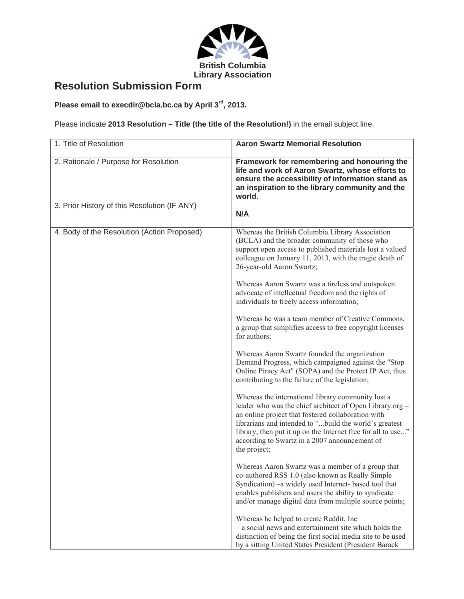

## **Resolution Submission Form**

**Please email to execdir@bcla.bc.ca by April 3rd, 2013.**

Please indicate **2013 Resolution – Title (the title of the Resolution!)** in the email subject line.

| 1. Title of Resolution                       | <b>Aaron Swartz Memorial Resolution</b>                                                                                                                                                                                                                                                                                                                         |
|----------------------------------------------|-----------------------------------------------------------------------------------------------------------------------------------------------------------------------------------------------------------------------------------------------------------------------------------------------------------------------------------------------------------------|
| 2. Rationale / Purpose for Resolution        | Framework for remembering and honouring the<br>life and work of Aaron Swartz, whose efforts to<br>ensure the accessibility of information stand as<br>an inspiration to the library community and the<br>world.                                                                                                                                                 |
| 3. Prior History of this Resolution (IF ANY) | N/A                                                                                                                                                                                                                                                                                                                                                             |
| 4. Body of the Resolution (Action Proposed)  | Whereas the British Columbia Library Association<br>(BCLA) and the broader community of those who<br>support open access to published materials lost a valued<br>colleague on January 11, 2013, with the tragic death of<br>26-year-old Aaron Swartz;                                                                                                           |
|                                              | Whereas Aaron Swartz was a tireless and outspoken<br>advocate of intellectual freedom and the rights of<br>individuals to freely access information;                                                                                                                                                                                                            |
|                                              | Whereas he was a team member of Creative Commons,<br>a group that simplifies access to free copyright licenses<br>for authors;                                                                                                                                                                                                                                  |
|                                              | Whereas Aaron Swartz founded the organization<br>Demand Progress, which campaigned against the "Stop<br>Online Piracy Act" (SOPA) and the Protect IP Act, thus<br>contributing to the failure of the legislation;                                                                                                                                               |
|                                              | Whereas the international library community lost a<br>leader who was the chief architect of Open Library.org -<br>an online project that fostered collaboration with<br>librarians and intended to "build the world's greatest<br>library, then put it up on the Internet free for all to use"<br>according to Swartz in a 2007 announcement of<br>the project; |
|                                              | Whereas Aaron Swartz was a member of a group that<br>co-authored RSS 1.0 (also known as Really Simple<br>Syndication) –a widely used Internet- based tool that<br>enables publishers and users the ability to syndicate<br>and/or manage digital data from multiple source points;                                                                              |
|                                              | Whereas he helped to create Reddit, Inc.<br>- a social news and entertainment site which holds the<br>distinction of being the first social media site to be used<br>by a sitting United States President (President Barack                                                                                                                                     |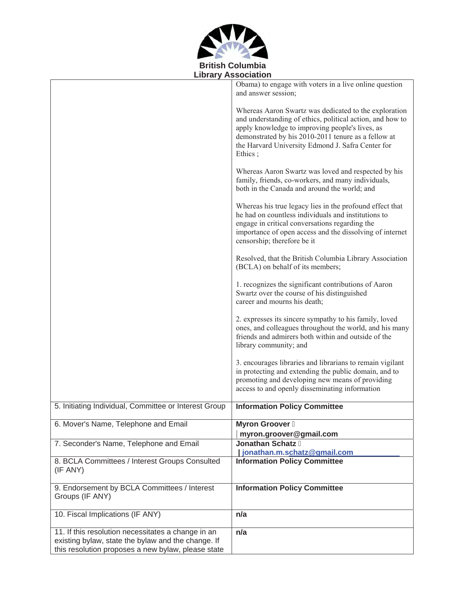

|                                                                                                                                                                | Obama) to engage with voters in a live online question<br>and answer session;                                                                                                                                                                                                                 |
|----------------------------------------------------------------------------------------------------------------------------------------------------------------|-----------------------------------------------------------------------------------------------------------------------------------------------------------------------------------------------------------------------------------------------------------------------------------------------|
|                                                                                                                                                                | Whereas Aaron Swartz was dedicated to the exploration<br>and understanding of ethics, political action, and how to<br>apply knowledge to improving people's lives, as<br>demonstrated by his 2010-2011 tenure as a fellow at<br>the Harvard University Edmond J. Safra Center for<br>Ethics ; |
|                                                                                                                                                                | Whereas Aaron Swartz was loved and respected by his<br>family, friends, co-workers, and many individuals,<br>both in the Canada and around the world; and                                                                                                                                     |
|                                                                                                                                                                | Whereas his true legacy lies in the profound effect that<br>he had on countless individuals and institutions to<br>engage in critical conversations regarding the<br>importance of open access and the dissolving of internet<br>censorship; therefore be it                                  |
|                                                                                                                                                                | Resolved, that the British Columbia Library Association<br>(BCLA) on behalf of its members;                                                                                                                                                                                                   |
|                                                                                                                                                                | 1. recognizes the significant contributions of Aaron<br>Swartz over the course of his distinguished<br>career and mourns his death;                                                                                                                                                           |
|                                                                                                                                                                | 2. expresses its sincere sympathy to his family, loved<br>ones, and colleagues throughout the world, and his many<br>friends and admirers both within and outside of the<br>library community; and                                                                                            |
|                                                                                                                                                                | 3. encourages libraries and librarians to remain vigilant<br>in protecting and extending the public domain, and to<br>promoting and developing new means of providing<br>access to and openly disseminating information                                                                       |
| 5. Initiating Individual, Committee or Interest Group                                                                                                          | <b>Information Policy Committee</b>                                                                                                                                                                                                                                                           |
| 6. Mover's Name, Telephone and Email                                                                                                                           | <b>Myron Groover</b>                                                                                                                                                                                                                                                                          |
|                                                                                                                                                                | myron.groover@gmail.com                                                                                                                                                                                                                                                                       |
| 7. Seconder's Name, Telephone and Email                                                                                                                        | <b>Jonathan Schatz</b><br>jonathan.m.schatz@gmail.com                                                                                                                                                                                                                                         |
| 8. BCLA Committees / Interest Groups Consulted                                                                                                                 | <b>Information Policy Committee</b>                                                                                                                                                                                                                                                           |
| (IF ANY)                                                                                                                                                       |                                                                                                                                                                                                                                                                                               |
| 9. Endorsement by BCLA Committees / Interest<br>Groups (IF ANY)                                                                                                | <b>Information Policy Committee</b>                                                                                                                                                                                                                                                           |
| 10. Fiscal Implications (IF ANY)                                                                                                                               | n/a                                                                                                                                                                                                                                                                                           |
| 11. If this resolution necessitates a change in an<br>existing bylaw, state the bylaw and the change. If<br>this resolution proposes a new bylaw, please state | n/a                                                                                                                                                                                                                                                                                           |